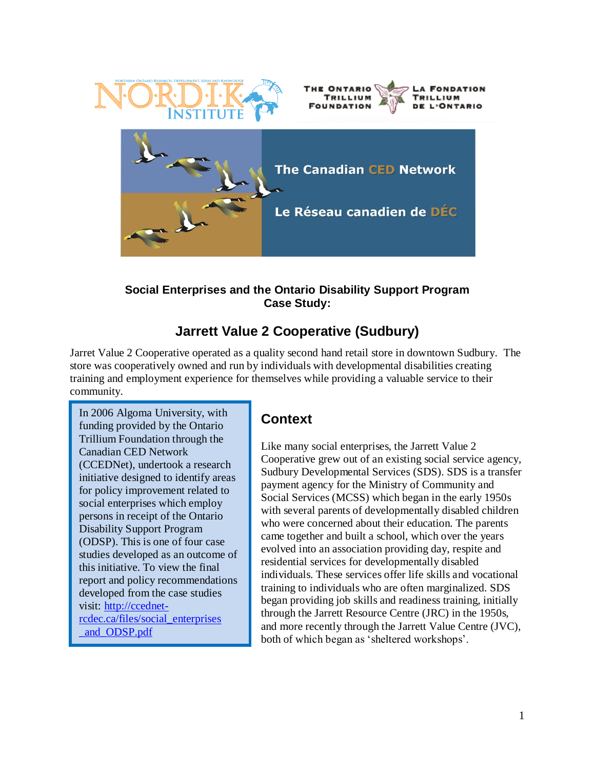

#### **Social Enterprises and the Ontario Disability Support Program Case Study:**

# **Jarrett Value 2 Cooperative (Sudbury)**

Jarret Value 2 Cooperative operated as a quality second hand retail store in downtown Sudbury. The store was cooperatively owned and run by individuals with developmental disabilities creating training and employment experience for themselves while providing a valuable service to their community.

In 2006 Algoma University, with funding provided by the Ontario Trillium Foundation through the Canadian CED Network (CCEDNet), undertook a research initiative designed to identify areas for policy improvement related to social enterprises which employ persons in receipt of the Ontario Disability Support Program (ODSP). This is one of four case studies developed as an outcome of this initiative. To view the final report and policy recommendations developed from the case studies visit: [http://ccednet](http://ccednet-rcdec.ca/files/social_enterprises%0b_and_ODSP.pdf)[rcdec.ca/files/social\\_enterprises](http://ccednet-rcdec.ca/files/social_enterprises%0b_and_ODSP.pdf) [\\_and\\_ODSP.pdf](http://ccednet-rcdec.ca/files/social_enterprises%0b_and_ODSP.pdf)

### **Context**

Like many social enterprises, the Jarrett Value 2 Cooperative grew out of an existing social service agency, Sudbury Developmental Services (SDS). SDS is a transfer payment agency for the Ministry of Community and Social Services (MCSS) which began in the early 1950s with several parents of developmentally disabled children who were concerned about their education. The parents came together and built a school, which over the years evolved into an association providing day, respite and residential services for developmentally disabled individuals. These services offer life skills and vocational training to individuals who are often marginalized. SDS began providing job skills and readiness training, initially through the Jarrett Resource Centre (JRC) in the 1950s, and more recently through the Jarrett Value Centre (JVC), both of which began as "sheltered workshops".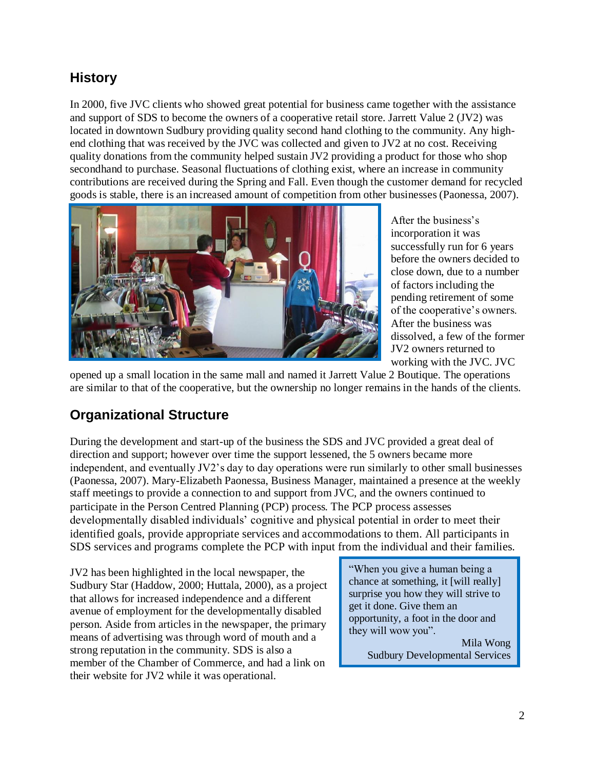### **History**

In 2000, five JVC clients who showed great potential for business came together with the assistance and support of SDS to become the owners of a cooperative retail store. Jarrett Value 2 (JV2) was located in downtown Sudbury providing quality second hand clothing to the community. Any highend clothing that was received by the JVC was collected and given to JV2 at no cost. Receiving quality donations from the community helped sustain JV2 providing a product for those who shop secondhand to purchase. Seasonal fluctuations of clothing exist, where an increase in community contributions are received during the Spring and Fall. Even though the customer demand for recycled goods is stable, there is an increased amount of competition from other businesses (Paonessa, 2007).



After the business"s incorporation it was successfully run for 6 years before the owners decided to close down, due to a number of factors including the pending retirement of some of the cooperative"s owners. After the business was dissolved, a few of the former JV2 owners returned to working with the JVC. JVC

opened up a small location in the same mall and named it Jarrett Value 2 Boutique. The operations are similar to that of the cooperative, but the ownership no longer remains in the hands of the clients.

### **Organizational Structure**

During the development and start-up of the business the SDS and JVC provided a great deal of direction and support; however over time the support lessened, the 5 owners became more independent, and eventually JV2"s day to day operations were run similarly to other small businesses (Paonessa, 2007). Mary-Elizabeth Paonessa, Business Manager, maintained a presence at the weekly staff meetings to provide a connection to and support from JVC, and the owners continued to participate in the Person Centred Planning (PCP) process. The PCP process assesses developmentally disabled individuals" cognitive and physical potential in order to meet their identified goals, provide appropriate services and accommodations to them. All participants in SDS services and programs complete the PCP with input from the individual and their families.

JV2 has been highlighted in the local newspaper, the Sudbury Star (Haddow, 2000; Huttala, 2000), as a project that allows for increased independence and a different avenue of employment for the developmentally disabled person. Aside from articles in the newspaper, the primary means of advertising was through word of mouth and a strong reputation in the community. SDS is also a member of the Chamber of Commerce, and had a link on their website for JV2 while it was operational.

"When you give a human being a chance at something, it [will really] surprise you how they will strive to get it done. Give them an opportunity, a foot in the door and they will wow you".

Mila Wong Sudbury Developmental Services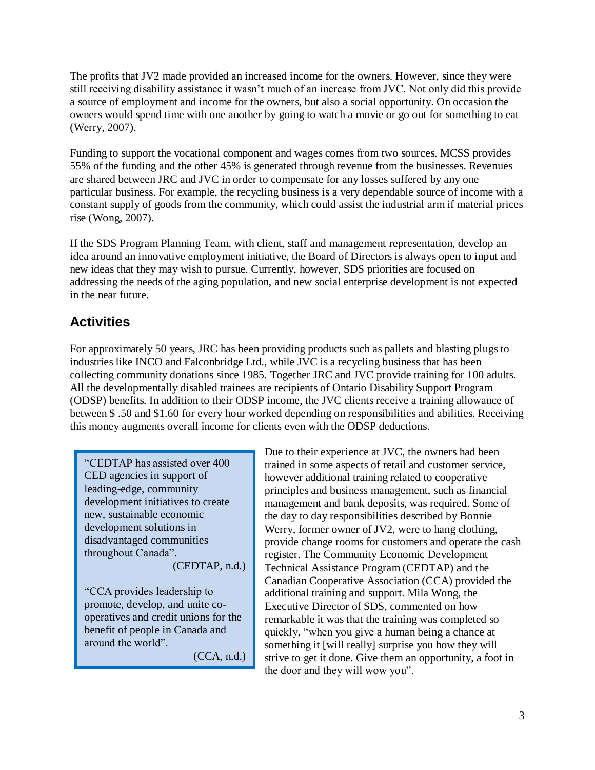The profits that JV2 made provided an increased income for the owners. However, since they were still receiving disability assistance it wasn"t much of an increase from JVC. Not only did this provide a source of employment and income for the owners, but also a social opportunity. On occasion the owners would spend time with one another by going to watch a movie or go out for something to eat (Werry, 2007).

Funding to support the vocational component and wages comes from two sources. MCSS provides 55% of the funding and the other 45% is generated through revenue from the businesses. Revenues are shared between JRC and JVC in order to compensate for any losses suffered by any one particular business. For example, the recycling business is a very dependable source of income with a constant supply of goods from the community, which could assist the industrial arm if material prices rise (Wong, 2007).

If the SDS Program Planning Team, with client, staff and management representation, develop an idea around an innovative employment initiative, the Board of Directors is always open to input and new ideas that they may wish to pursue. Currently, however, SDS priorities are focused on addressing the needs of the aging population, and new social enterprise development is not expected in the near future.

## **Activities**

For approximately 50 years, JRC has been providing products such as pallets and blasting plugs to industries like INCO and Falconbridge Ltd., while JVC is a recycling business that has been collecting community donations since 1985. Together JRC and JVC provide training for 100 adults. All the developmentally disabled trainees are recipients of Ontario Disability Support Program (ODSP) benefits. In addition to their ODSP income, the JVC clients receive a training allowance of between \$ .50 and \$1.60 for every hour worked depending on responsibilities and abilities. Receiving this money augments overall income for clients even with the ODSP deductions.

"CEDTAP has assisted over 400 CED agencies in support of leading-edge, community development initiatives to create new, sustainable economic development solutions in disadvantaged communities throughout Canada". (CEDTAP, n.d.)

"CCA provides leadership to promote, develop, and unite cooperatives and credit unions for the benefit of people in Canada and around the world".

(CCA, n.d.)

Due to their experience at JVC, the owners had been trained in some aspects of retail and customer service, however additional training related to cooperative principles and business management, such as financial management and bank deposits, was required. Some of the day to day responsibilities described by Bonnie Werry, former owner of JV2, were to hang clothing, provide change rooms for customers and operate the cash register. The Community Economic Development Technical Assistance Program (CEDTAP) and the Canadian Cooperative Association (CCA) provided the additional training and support. Mila Wong, the Executive Director of SDS, commented on how remarkable it was that the training was completed so quickly, "when you give a human being a chance at something it [will really] surprise you how they will strive to get it done. Give them an opportunity, a foot in the door and they will wow you".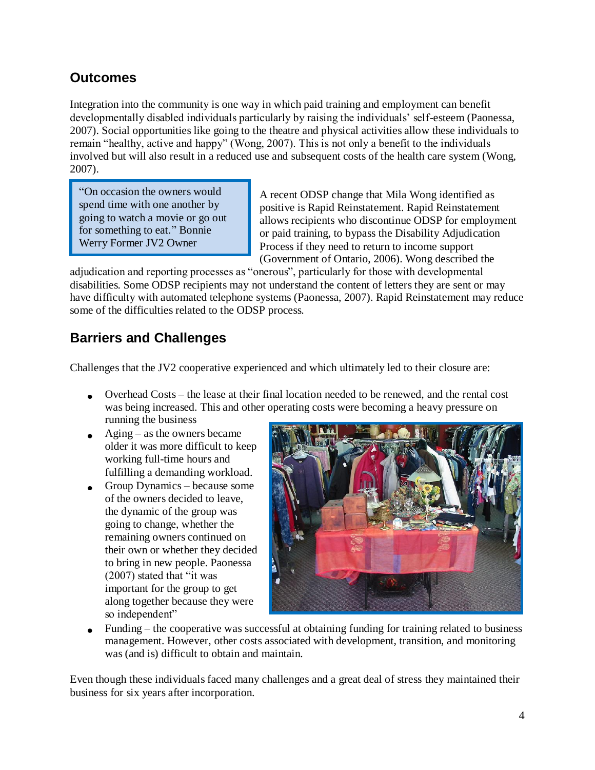### **Outcomes**

Integration into the community is one way in which paid training and employment can benefit developmentally disabled individuals particularly by raising the individuals" self-esteem (Paonessa, 2007). Social opportunities like going to the theatre and physical activities allow these individuals to remain "healthy, active and happy" (Wong, 2007). This is not only a benefit to the individuals involved but will also result in a reduced use and subsequent costs of the health care system (Wong, 2007).

"On occasion the owners would spend time with one another by going to watch a movie or go out for something to eat." Bonnie Werry Former JV2 Owner

A recent ODSP change that Mila Wong identified as positive is Rapid Reinstatement. Rapid Reinstatement allows recipients who discontinue ODSP for employment or paid training, to bypass the Disability Adjudication Process if they need to return to income support (Government of Ontario, 2006). Wong described the

adjudication and reporting processes as "onerous", particularly for those with developmental disabilities. Some ODSP recipients may not understand the content of letters they are sent or may have difficulty with automated telephone systems (Paonessa, 2007). Rapid Reinstatement may reduce some of the difficulties related to the ODSP process.

## **Barriers and Challenges**

Challenges that the JV2 cooperative experienced and which ultimately led to their closure are:

- Overhead Costs the lease at their final location needed to be renewed, and the rental cost was being increased. This and other operating costs were becoming a heavy pressure on running the business
- $\triangle$  Aging as the owners became older it was more difficult to keep working full-time hours and fulfilling a demanding workload.
- Group Dynamics because some of the owners decided to leave, the dynamic of the group was going to change, whether the remaining owners continued on their own or whether they decided to bring in new people. Paonessa (2007) stated that "it was important for the group to get along together because they were so independent"



 $\bullet$  Funding – the cooperative was successful at obtaining funding for training related to business management. However, other costs associated with development, transition, and monitoring was (and is) difficult to obtain and maintain.

Even though these individuals faced many challenges and a great deal of stress they maintained their business for six years after incorporation.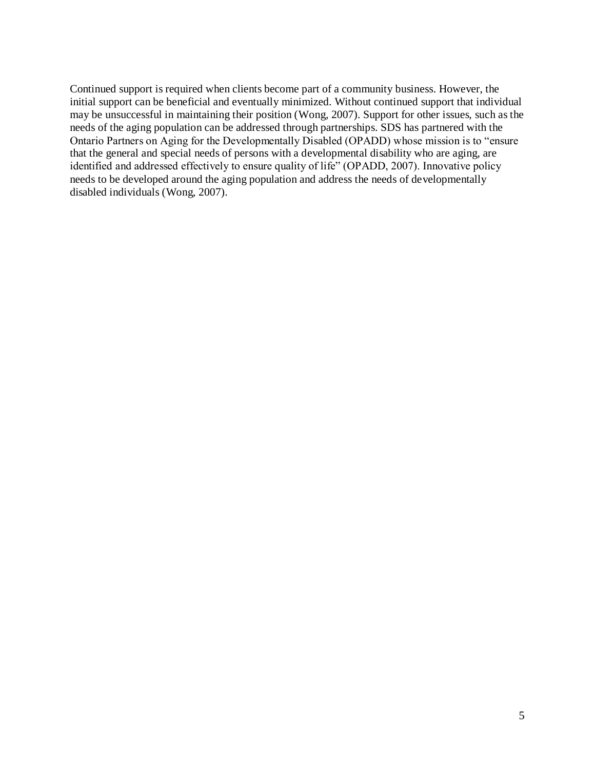Continued support is required when clients become part of a community business. However, the initial support can be beneficial and eventually minimized. Without continued support that individual may be unsuccessful in maintaining their position (Wong, 2007). Support for other issues, such as the needs of the aging population can be addressed through partnerships. SDS has partnered with the Ontario Partners on Aging for the Developmentally Disabled (OPADD) whose mission is to "ensure that the general and special needs of persons with a developmental disability who are aging, are identified and addressed effectively to ensure quality of life" (OPADD, 2007). Innovative policy needs to be developed around the aging population and address the needs of developmentally disabled individuals (Wong, 2007).